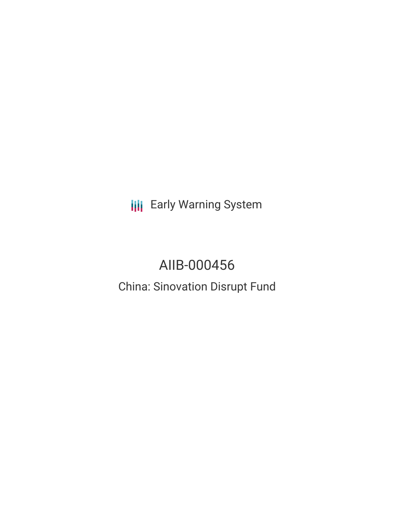**III** Early Warning System

# AIIB-000456

China: Sinovation Disrupt Fund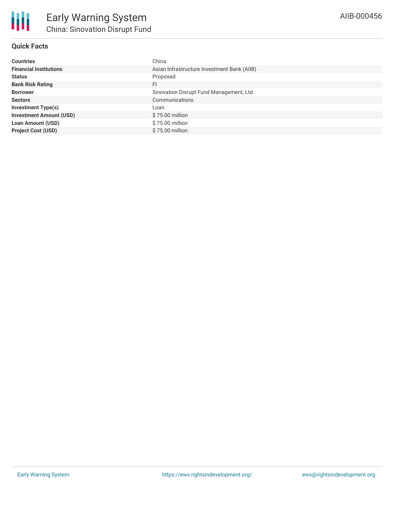

## **Quick Facts**

| <b>Countries</b>               | China                                       |
|--------------------------------|---------------------------------------------|
| <b>Financial Institutions</b>  | Asian Infrastructure Investment Bank (AIIB) |
| <b>Status</b>                  | Proposed                                    |
| <b>Bank Risk Rating</b>        | <b>FI</b>                                   |
| <b>Borrower</b>                | Sinovation Disrupt Fund Management, Ltd.    |
| <b>Sectors</b>                 | Communications                              |
| Investment Type(s)             | ∟oan                                        |
| <b>Investment Amount (USD)</b> | \$75.00 million                             |
| <b>Loan Amount (USD)</b>       | \$75.00 million                             |
| <b>Project Cost (USD)</b>      | $$75.00$ million                            |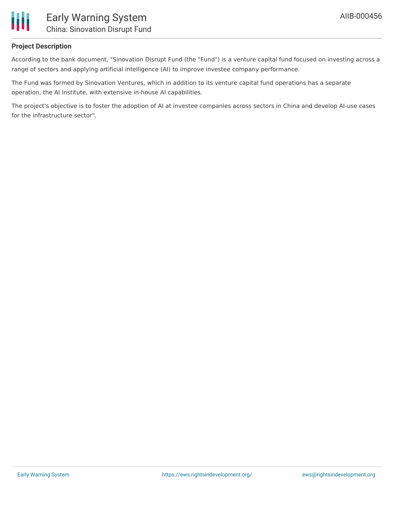

#### **Project Description**

According to the bank document, "Sinovation Disrupt Fund (the "Fund") is a venture capital fund focused on investing across a range of sectors and applying artificial intelligence (AI) to improve investee company performance.

The Fund was formed by Sinovation Ventures, which in addition to its venture capital fund operations has a separate operation, the AI Institute, with extensive in-house AI capabilities.

The project's objective is to foster the adoption of AI at investee companies across sectors in China and develop AI-use cases for the infrastructure sector".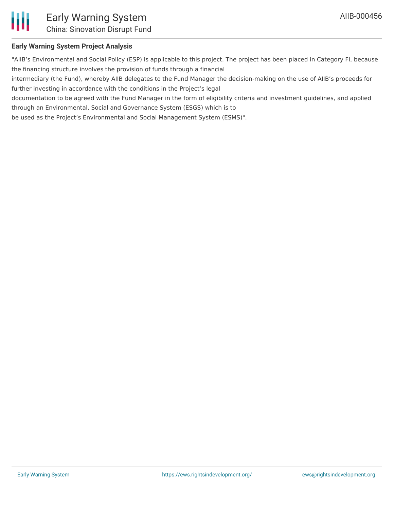

## **Early Warning System Project Analysis**

"AIIB's Environmental and Social Policy (ESP) is applicable to this project. The project has been placed in Category FI, because the financing structure involves the provision of funds through a financial

intermediary (the Fund), whereby AIIB delegates to the Fund Manager the decision-making on the use of AIIB's proceeds for further investing in accordance with the conditions in the Project's legal

documentation to be agreed with the Fund Manager in the form of eligibility criteria and investment guidelines, and applied through an Environmental, Social and Governance System (ESGS) which is to

be used as the Project's Environmental and Social Management System (ESMS)".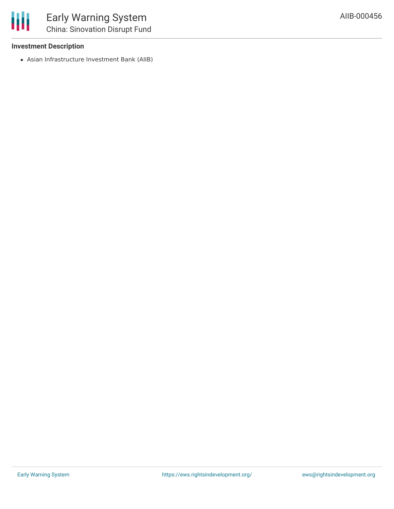#### **Investment Description**

Asian Infrastructure Investment Bank (AIIB)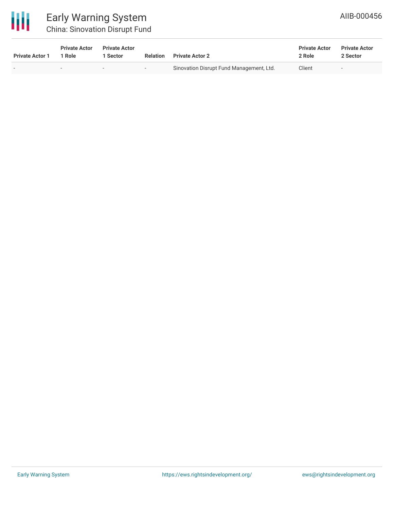

# Early Warning System China: Sinovation Disrupt Fund

| <b>Private Actor 1</b> | <b>Private Actor</b><br>1 Role | <b>Private Actor</b><br>Sector | <b>Relation</b>          | <b>Private Actor 2</b>                   | <b>Private Actor</b><br>2 Role | <b>Private Actor</b><br>2 Sector |
|------------------------|--------------------------------|--------------------------------|--------------------------|------------------------------------------|--------------------------------|----------------------------------|
|                        | $\overline{\phantom{0}}$       | $\overline{\phantom{0}}$       | $\overline{\phantom{a}}$ | Sinovation Disrupt Fund Management, Ltd. | Client                         | $\overline{\phantom{0}}$         |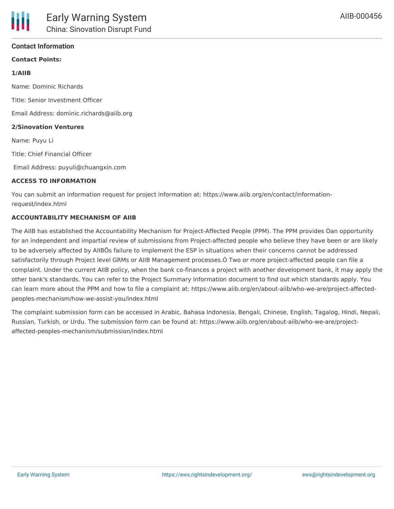## **Contact Information**

# **Contact Points:**

#### **1/AIIB**

Name: Dominic Richards Title: Senior Investment Officer Email Address: dominic.richards@aiib.org **2/Sinovation Ventures** Name: Puyu Li Title: Chief Financial Officer

Email Address: puyuli@chuangxin.com

#### **ACCESS TO INFORMATION**

You can submit an information request for project information at: https://www.aiib.org/en/contact/informationrequest/index.html

#### **ACCOUNTABILITY MECHANISM OF AIIB**

The AIIB has established the Accountability Mechanism for Project-Affected People (PPM). The PPM provides Òan opportunity for an independent and impartial review of submissions from Project-affected people who believe they have been or are likely to be adversely affected by AIIBÕs failure to implement the ESP in situations when their concerns cannot be addressed satisfactorily through Project level GRMs or AIIB Management processes.Ó Two or more project-affected people can file a complaint. Under the current AIIB policy, when the bank co-finances a project with another development bank, it may apply the other bank's standards. You can refer to the Project Summary Information document to find out which standards apply. You can learn more about the PPM and how to file a complaint at: https://www.aiib.org/en/about-aiib/who-we-are/project-affectedpeoples-mechanism/how-we-assist-you/index.html

The complaint submission form can be accessed in Arabic, Bahasa Indonesia, Bengali, Chinese, English, Tagalog, Hindi, Nepali, Russian, Turkish, or Urdu. The submission form can be found at: https://www.aiib.org/en/about-aiib/who-we-are/projectaffected-peoples-mechanism/submission/index.html